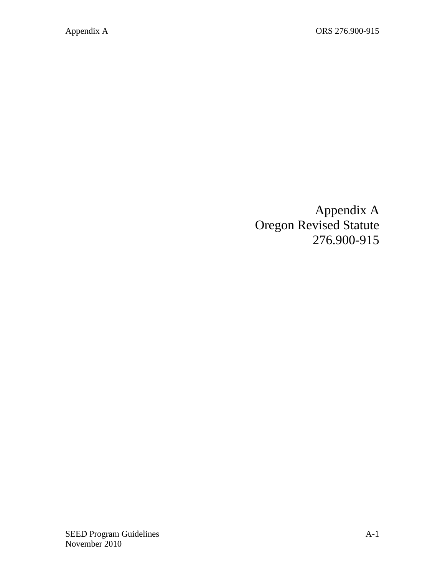Appendix A Oregon Revised Statute 276.900-915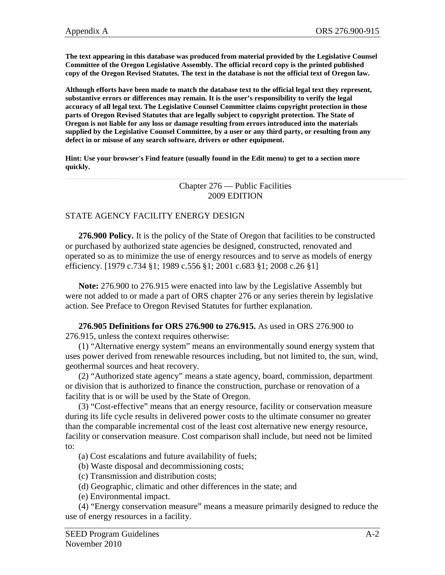**The text appearing in this database was produced from material provided by the Legislative Counsel Committee of the Oregon Legislative Assembly. The official record copy is the printed published copy of the Oregon Revised Statutes. The text in the database is not the official text of Oregon law.**

**Although efforts have been made to match the database text to the official legal text they represent, substantive errors or differences may remain. It is the user's responsibility to verify the legal accuracy of all legal text. The Legislative Counsel Committee claims copyright protection in those parts of Oregon Revised Statutes that are legally subject to copyright protection. The State of Oregon is not liable for any loss or damage resulting from errors introduced into the materials supplied by the Legislative Counsel Committee, by a user or any third party, or resulting from any defect in or misuse of any search software, drivers or other equipment.** 

**Hint: Use your browser's Find feature (usually found in the Edit menu) to get to a section more quickly.**

> Chapter 276 — Public Facilities 2009 EDITION

## STATE AGENCY FACILITY ENERGY DESIGN

 **276.900 Policy.** It is the policy of the State of Oregon that facilities to be constructed or purchased by authorized state agencies be designed, constructed, renovated and operated so as to minimize the use of energy resources and to serve as models of energy efficiency. [1979 c.734 §1; 1989 c.556 §1; 2001 c.683 §1; 2008 c.26 §1]

 **Note:** 276.900 to 276.915 were enacted into law by the Legislative Assembly but were not added to or made a part of ORS chapter 276 or any series therein by legislative action. See Preface to Oregon Revised Statutes for further explanation.

 **276.905 Definitions for ORS 276.900 to 276.915.** As used in ORS 276.900 to 276.915, unless the context requires otherwise:

 (1) "Alternative energy system" means an environmentally sound energy system that uses power derived from renewable resources including, but not limited to, the sun, wind, geothermal sources and heat recovery.

 (2) "Authorized state agency" means a state agency, board, commission, department or division that is authorized to finance the construction, purchase or renovation of a facility that is or will be used by the State of Oregon.

 (3) "Cost-effective" means that an energy resource, facility or conservation measure during its life cycle results in delivered power costs to the ultimate consumer no greater than the comparable incremental cost of the least cost alternative new energy resource, facility or conservation measure. Cost comparison shall include, but need not be limited to:

(a) Cost escalations and future availability of fuels;

- (b) Waste disposal and decommissioning costs;
- (c) Transmission and distribution costs;

(d) Geographic, climatic and other differences in the state; and

(e) Environmental impact.

 (4) "Energy conservation measure" means a measure primarily designed to reduce the use of energy resources in a facility.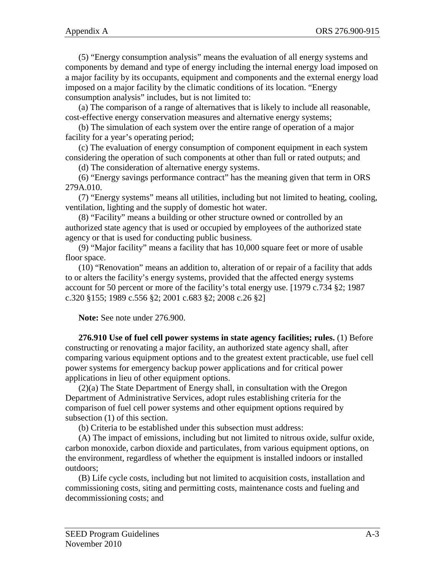(5) "Energy consumption analysis" means the evaluation of all energy systems and components by demand and type of energy including the internal energy load imposed on a major facility by its occupants, equipment and components and the external energy load imposed on a major facility by the climatic conditions of its location. "Energy consumption analysis" includes, but is not limited to:

 (a) The comparison of a range of alternatives that is likely to include all reasonable, cost-effective energy conservation measures and alternative energy systems;

 (b) The simulation of each system over the entire range of operation of a major facility for a year's operating period;

 (c) The evaluation of energy consumption of component equipment in each system considering the operation of such components at other than full or rated outputs; and

(d) The consideration of alternative energy systems.

 (6) "Energy savings performance contract" has the meaning given that term in ORS 279A.010.

 (7) "Energy systems" means all utilities, including but not limited to heating, cooling, ventilation, lighting and the supply of domestic hot water.

 (8) "Facility" means a building or other structure owned or controlled by an authorized state agency that is used or occupied by employees of the authorized state agency or that is used for conducting public business.

 (9) "Major facility" means a facility that has 10,000 square feet or more of usable floor space.

 (10) "Renovation" means an addition to, alteration of or repair of a facility that adds to or alters the facility's energy systems, provided that the affected energy systems account for 50 percent or more of the facility's total energy use. [1979 c.734 §2; 1987 c.320 §155; 1989 c.556 §2; 2001 c.683 §2; 2008 c.26 §2]

 **Note:** See note under 276.900.

 **276.910 Use of fuel cell power systems in state agency facilities; rules.** (1) Before constructing or renovating a major facility, an authorized state agency shall, after comparing various equipment options and to the greatest extent practicable, use fuel cell power systems for emergency backup power applications and for critical power applications in lieu of other equipment options.

 (2)(a) The State Department of Energy shall, in consultation with the Oregon Department of Administrative Services, adopt rules establishing criteria for the comparison of fuel cell power systems and other equipment options required by subsection (1) of this section.

(b) Criteria to be established under this subsection must address:

 (A) The impact of emissions, including but not limited to nitrous oxide, sulfur oxide, carbon monoxide, carbon dioxide and particulates, from various equipment options, on the environment, regardless of whether the equipment is installed indoors or installed outdoors;

 (B) Life cycle costs, including but not limited to acquisition costs, installation and commissioning costs, siting and permitting costs, maintenance costs and fueling and decommissioning costs; and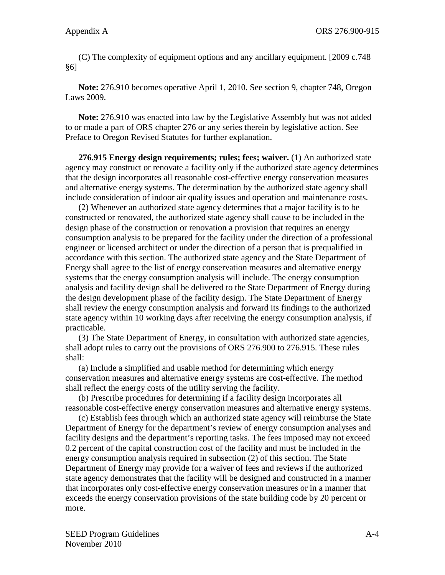(C) The complexity of equipment options and any ancillary equipment. [2009 c.748 §6]

 **Note:** 276.910 becomes operative April 1, 2010. See section 9, chapter 748, Oregon Laws 2009.

 **Note:** 276.910 was enacted into law by the Legislative Assembly but was not added to or made a part of ORS chapter 276 or any series therein by legislative action. See Preface to Oregon Revised Statutes for further explanation.

 **276.915 Energy design requirements; rules; fees; waiver.** (1) An authorized state agency may construct or renovate a facility only if the authorized state agency determines that the design incorporates all reasonable cost-effective energy conservation measures and alternative energy systems. The determination by the authorized state agency shall include consideration of indoor air quality issues and operation and maintenance costs.

 (2) Whenever an authorized state agency determines that a major facility is to be constructed or renovated, the authorized state agency shall cause to be included in the design phase of the construction or renovation a provision that requires an energy consumption analysis to be prepared for the facility under the direction of a professional engineer or licensed architect or under the direction of a person that is prequalified in accordance with this section. The authorized state agency and the State Department of Energy shall agree to the list of energy conservation measures and alternative energy systems that the energy consumption analysis will include. The energy consumption analysis and facility design shall be delivered to the State Department of Energy during the design development phase of the facility design. The State Department of Energy shall review the energy consumption analysis and forward its findings to the authorized state agency within 10 working days after receiving the energy consumption analysis, if practicable.

 (3) The State Department of Energy, in consultation with authorized state agencies, shall adopt rules to carry out the provisions of ORS 276.900 to 276.915. These rules shall:

 (a) Include a simplified and usable method for determining which energy conservation measures and alternative energy systems are cost-effective. The method shall reflect the energy costs of the utility serving the facility.

 (b) Prescribe procedures for determining if a facility design incorporates all reasonable cost-effective energy conservation measures and alternative energy systems.

 (c) Establish fees through which an authorized state agency will reimburse the State Department of Energy for the department's review of energy consumption analyses and facility designs and the department's reporting tasks. The fees imposed may not exceed 0.2 percent of the capital construction cost of the facility and must be included in the energy consumption analysis required in subsection (2) of this section. The State Department of Energy may provide for a waiver of fees and reviews if the authorized state agency demonstrates that the facility will be designed and constructed in a manner that incorporates only cost-effective energy conservation measures or in a manner that exceeds the energy conservation provisions of the state building code by 20 percent or more.